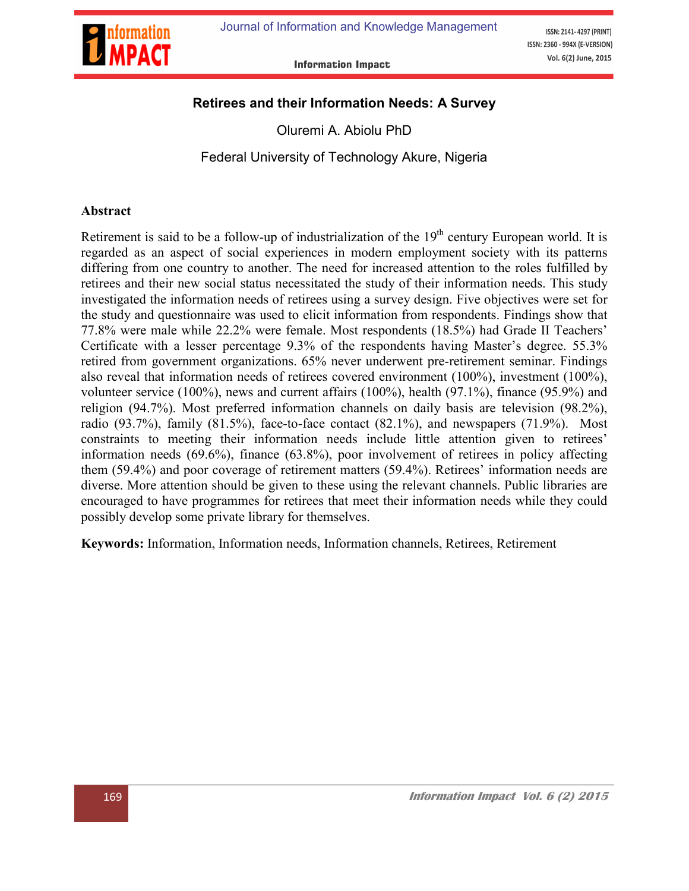

ISSN: 2141-4297 (PRINT) ISSN: 2360 - 994X (E-VERSION) Vol. 6(2) June, 2015

**Information Impact** 

## Retirees and their Information Needs: A Survey

Oluremi A. Abiolu PhD

Federal University of Technology Akure, Nigeria

#### Abstract

Retirement is said to be a follow-up of industrialization of the  $19<sup>th</sup>$  century European world. It is regarded as an aspect of social experiences in modern employment society with its patterns differing from one country to another. The need for increased attention to the roles fulfilled by retirees and their new social status necessitated the study of their information needs. This study investigated the information needs of retirees using a survey design. Five objectives were set for the study and questionnaire was used to elicit information from respondents. Findings show that 77.8% were male while 22.2% were female. Most respondents (18.5%) had Grade II Teachers' Certificate with a lesser percentage 9.3% of the respondents having Master's degree. 55.3% retired from government organizations. 65% never underwent pre-retirement seminar. Findings also reveal that information needs of retirees covered environment (100%), investment (100%), volunteer service (100%), news and current affairs (100%), health (97.1%), finance (95.9%) and religion (94.7%). Most preferred information channels on daily basis are television (98.2%), radio  $(93.7\%)$ , family  $(81.5\%)$ , face-to-face contact  $(82.1\%)$ , and newspapers  $(71.9\%)$ . Most constraints to meeting their information needs include little attention given to retirees' information needs (69.6%), finance (63.8%), poor involvement of retirees in policy affecting them (59.4%) and poor coverage of retirement matters (59.4%). Retirees' information needs are diverse. More attention should be given to these using the relevant channels. Public libraries are encouraged to have programmes for retirees that meet their information needs while they could possibly develop some private library for themselves.

Keywords: Information, Information needs, Information channels, Retirees, Retirement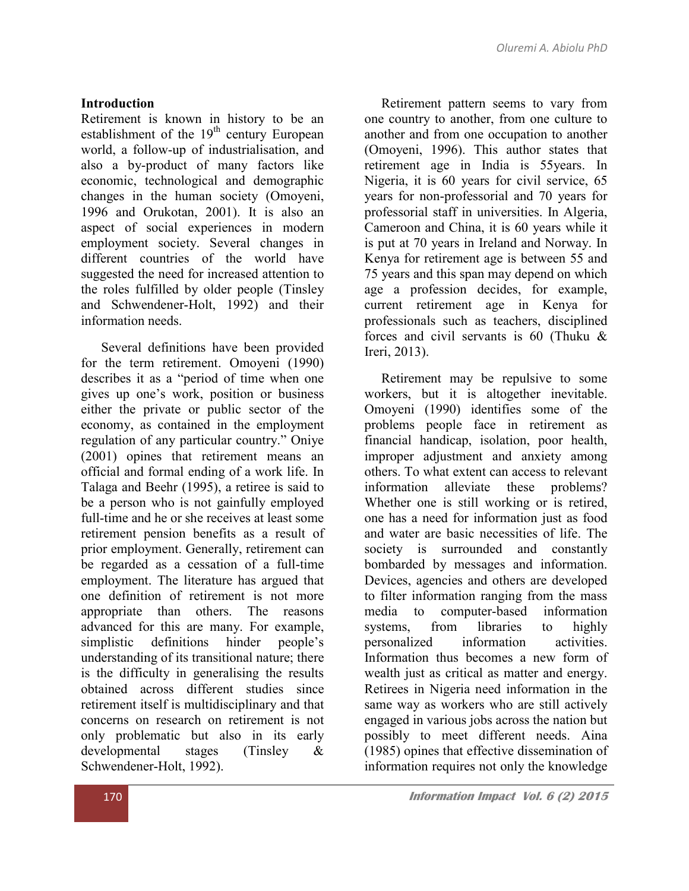#### Introduction

Retirement is known in history to be an establishment of the  $19<sup>th</sup>$  century European world, a follow-up of industrialisation, and also a by-product of many factors like economic, technological and demographic changes in the human society (Omoyeni, 1996 and Orukotan, 2001). It is also an aspect of social experiences in modern employment society. Several changes in different countries of the world have suggested the need for increased attention to the roles fulfilled by older people (Tinsley and Schwendener-Holt, 1992) and their information needs.

 Several definitions have been provided for the term retirement. Omoyeni (1990) describes it as a "period of time when one gives up one's work, position or business either the private or public sector of the economy, as contained in the employment regulation of any particular country." Oniye (2001) opines that retirement means an official and formal ending of a work life. In Talaga and Beehr (1995), a retiree is said to be a person who is not gainfully employed full-time and he or she receives at least some retirement pension benefits as a result of prior employment. Generally, retirement can be regarded as a cessation of a full-time employment. The literature has argued that one definition of retirement is not more appropriate than others. The reasons advanced for this are many. For example, simplistic definitions hinder people's understanding of its transitional nature; there is the difficulty in generalising the results obtained across different studies since retirement itself is multidisciplinary and that concerns on research on retirement is not only problematic but also in its early developmental stages (Tinsley & Schwendener-Holt, 1992).

 Retirement pattern seems to vary from one country to another, from one culture to another and from one occupation to another (Omoyeni, 1996). This author states that retirement age in India is 55years. In Nigeria, it is 60 years for civil service, 65 years for non-professorial and 70 years for professorial staff in universities. In Algeria, Cameroon and China, it is 60 years while it is put at 70 years in Ireland and Norway. In Kenya for retirement age is between 55 and 75 years and this span may depend on which age a profession decides, for example, current retirement age in Kenya for professionals such as teachers, disciplined forces and civil servants is 60 (Thuku & Ireri, 2013).

 Retirement may be repulsive to some workers, but it is altogether inevitable. Omoyeni (1990) identifies some of the problems people face in retirement as financial handicap, isolation, poor health, improper adjustment and anxiety among others. To what extent can access to relevant information alleviate these problems? Whether one is still working or is retired, one has a need for information just as food and water are basic necessities of life. The society is surrounded and constantly bombarded by messages and information. Devices, agencies and others are developed to filter information ranging from the mass media to computer-based information systems, from libraries to highly personalized information activities. Information thus becomes a new form of wealth just as critical as matter and energy. Retirees in Nigeria need information in the same way as workers who are still actively engaged in various jobs across the nation but possibly to meet different needs. Aina (1985) opines that effective dissemination of information requires not only the knowledge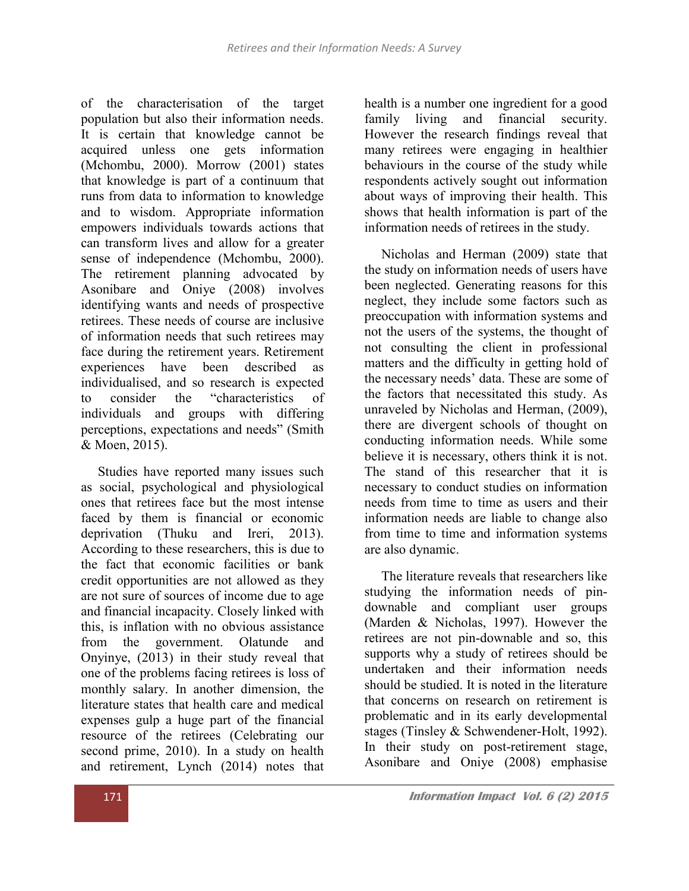of the characterisation of the target population but also their information needs. It is certain that knowledge cannot be acquired unless one gets information (Mchombu, 2000). Morrow (2001) states that knowledge is part of a continuum that runs from data to information to knowledge and to wisdom. Appropriate information empowers individuals towards actions that can transform lives and allow for a greater sense of independence (Mchombu, 2000). The retirement planning advocated by Asonibare and Oniye (2008) involves identifying wants and needs of prospective retirees. These needs of course are inclusive of information needs that such retirees may face during the retirement years. Retirement experiences have been described as individualised, and so research is expected to consider the "characteristics of individuals and groups with differing perceptions, expectations and needs" (Smith & Moen, 2015).

 Studies have reported many issues such as social, psychological and physiological ones that retirees face but the most intense faced by them is financial or economic deprivation (Thuku and Ireri, 2013). According to these researchers, this is due to the fact that economic facilities or bank credit opportunities are not allowed as they are not sure of sources of income due to age and financial incapacity. Closely linked with this, is inflation with no obvious assistance from the government. Olatunde and Onyinye, (2013) in their study reveal that one of the problems facing retirees is loss of monthly salary. In another dimension, the literature states that health care and medical expenses gulp a huge part of the financial resource of the retirees (Celebrating our second prime, 2010). In a study on health and retirement, Lynch (2014) notes that

health is a number one ingredient for a good family living and financial security. However the research findings reveal that many retirees were engaging in healthier behaviours in the course of the study while respondents actively sought out information about ways of improving their health. This shows that health information is part of the information needs of retirees in the study.

 Nicholas and Herman (2009) state that the study on information needs of users have been neglected. Generating reasons for this neglect, they include some factors such as preoccupation with information systems and not the users of the systems, the thought of not consulting the client in professional matters and the difficulty in getting hold of the necessary needs' data. These are some of the factors that necessitated this study. As unraveled by Nicholas and Herman, (2009), there are divergent schools of thought on conducting information needs. While some believe it is necessary, others think it is not. The stand of this researcher that it is necessary to conduct studies on information needs from time to time as users and their information needs are liable to change also from time to time and information systems are also dynamic.

 The literature reveals that researchers like studying the information needs of pindownable and compliant user groups (Marden & Nicholas, 1997). However the retirees are not pin-downable and so, this supports why a study of retirees should be undertaken and their information needs should be studied. It is noted in the literature that concerns on research on retirement is problematic and in its early developmental stages (Tinsley & Schwendener-Holt, 1992). In their study on post-retirement stage, Asonibare and Oniye (2008) emphasise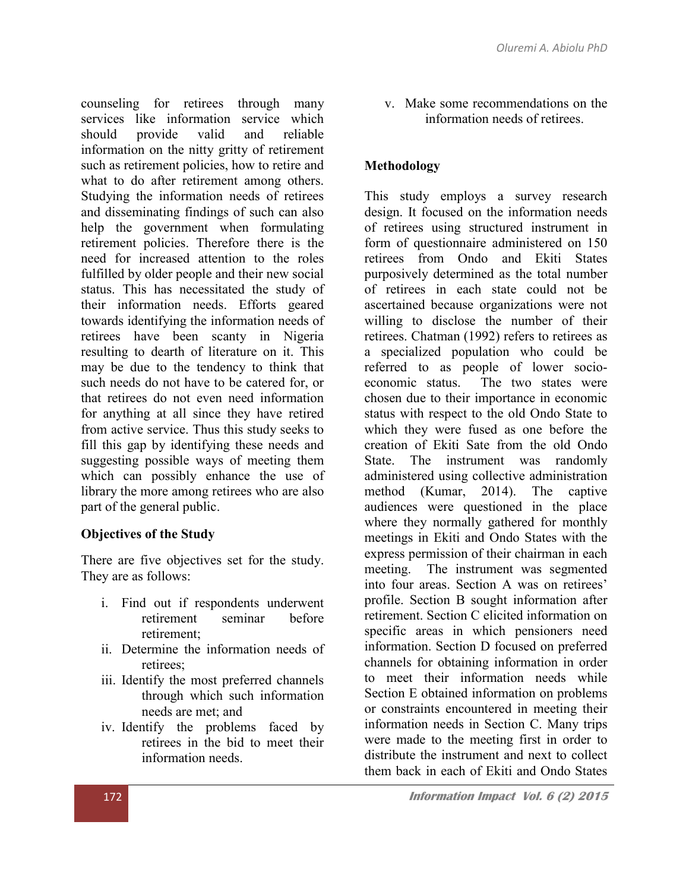counseling for retirees through many services like information service which should provide valid and reliable information on the nitty gritty of retirement such as retirement policies, how to retire and what to do after retirement among others. Studying the information needs of retirees and disseminating findings of such can also help the government when formulating retirement policies. Therefore there is the need for increased attention to the roles fulfilled by older people and their new social status. This has necessitated the study of their information needs. Efforts geared towards identifying the information needs of retirees have been scanty in Nigeria resulting to dearth of literature on it. This may be due to the tendency to think that such needs do not have to be catered for, or that retirees do not even need information for anything at all since they have retired from active service. Thus this study seeks to fill this gap by identifying these needs and suggesting possible ways of meeting them which can possibly enhance the use of library the more among retirees who are also part of the general public.

# Objectives of the Study

There are five objectives set for the study. They are as follows:

- i. Find out if respondents underwent retirement seminar before retirement;
- ii. Determine the information needs of retirees;
- iii. Identify the most preferred channels through which such information needs are met; and
- iv. Identify the problems faced by retirees in the bid to meet their information needs.

v. Make some recommendations on the information needs of retirees.

# Methodology

This study employs a survey research design. It focused on the information needs of retirees using structured instrument in form of questionnaire administered on 150 retirees from Ondo and Ekiti States purposively determined as the total number of retirees in each state could not be ascertained because organizations were not willing to disclose the number of their retirees. Chatman (1992) refers to retirees as a specialized population who could be referred to as people of lower socioeconomic status. The two states were chosen due to their importance in economic status with respect to the old Ondo State to which they were fused as one before the creation of Ekiti Sate from the old Ondo State. The instrument was randomly administered using collective administration method (Kumar, 2014). The captive audiences were questioned in the place where they normally gathered for monthly meetings in Ekiti and Ondo States with the express permission of their chairman in each meeting. The instrument was segmented into four areas. Section A was on retirees' profile. Section B sought information after retirement. Section C elicited information on specific areas in which pensioners need information. Section D focused on preferred channels for obtaining information in order to meet their information needs while Section E obtained information on problems or constraints encountered in meeting their information needs in Section C. Many trips were made to the meeting first in order to distribute the instrument and next to collect them back in each of Ekiti and Ondo States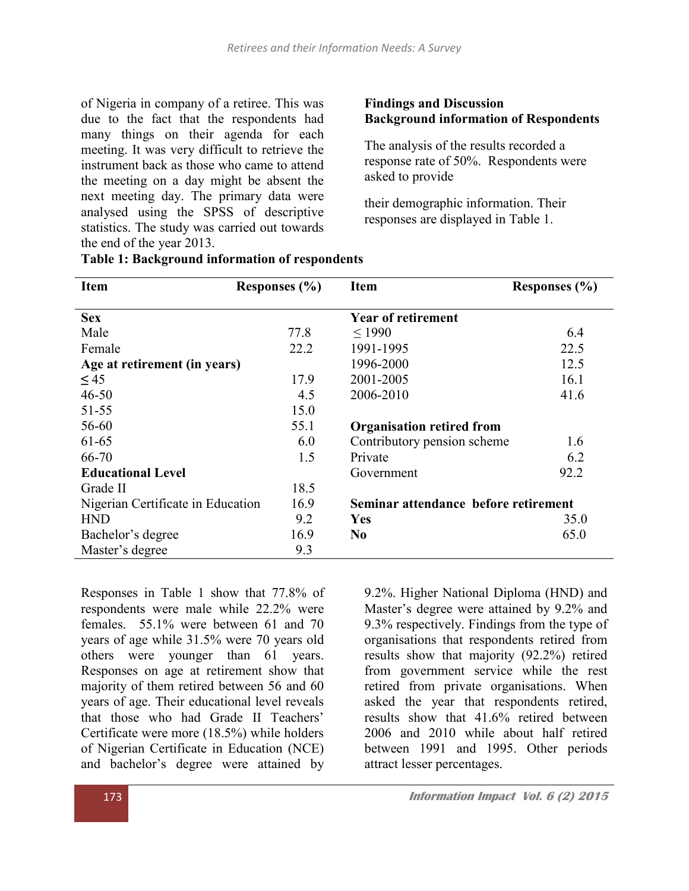of Nigeria in company of a retiree. This was due to the fact that the respondents had many things on their agenda for each meeting. It was very difficult to retrieve the instrument back as those who came to attend the meeting on a day might be absent the next meeting day. The primary data were analysed using the SPSS of descriptive statistics. The study was carried out towards the end of the year 2013.

#### Findings and Discussion Background information of Respondents

The analysis of the results recorded a response rate of 50%. Respondents were asked to provide

their demographic information. Their responses are displayed in Table 1.

| <b>Item</b>                       | Responses $(\% )$ | <b>Item</b>                          | Responses (%) |  |
|-----------------------------------|-------------------|--------------------------------------|---------------|--|
| <b>Sex</b>                        |                   | <b>Year of retirement</b>            |               |  |
| Male                              | 77.8              | < 1990                               | 6.4           |  |
| Female                            | 22.2              | 1991-1995                            | 22.5          |  |
| Age at retirement (in years)      |                   | 1996-2000                            | 12.5          |  |
| $\leq 45$                         | 17.9              | 2001-2005                            | 16.1          |  |
| $46 - 50$                         | 4.5               | 2006-2010                            | 41.6          |  |
| $51 - 55$                         | 15.0              |                                      |               |  |
| 56-60                             | 55.1              | <b>Organisation retired from</b>     |               |  |
| 61-65                             | 6.0               | Contributory pension scheme          | 1.6           |  |
| 66-70                             | 1.5               | Private                              | 6.2           |  |
| <b>Educational Level</b>          |                   | Government                           | 92.2          |  |
| Grade II                          | 18.5              |                                      |               |  |
| Nigerian Certificate in Education | 16.9              | Seminar attendance before retirement |               |  |
| <b>HND</b>                        | 9.2               | Yes                                  | 35.0          |  |
| Bachelor's degree                 | 16.9              | N <sub>0</sub>                       | 65.0          |  |
| Master's degree                   | 9.3               |                                      |               |  |

Responses in Table 1 show that 77.8% of respondents were male while 22.2% were females. 55.1% were between 61 and 70 years of age while 31.5% were 70 years old others were younger than 61 years. Responses on age at retirement show that majority of them retired between 56 and 60 years of age. Their educational level reveals that those who had Grade II Teachers' Certificate were more (18.5%) while holders of Nigerian Certificate in Education (NCE) and bachelor's degree were attained by

9.2%. Higher National Diploma (HND) and Master's degree were attained by 9.2% and 9.3% respectively. Findings from the type of organisations that respondents retired from results show that majority (92.2%) retired from government service while the rest retired from private organisations. When asked the year that respondents retired, results show that 41.6% retired between 2006 and 2010 while about half retired between 1991 and 1995. Other periods attract lesser percentages.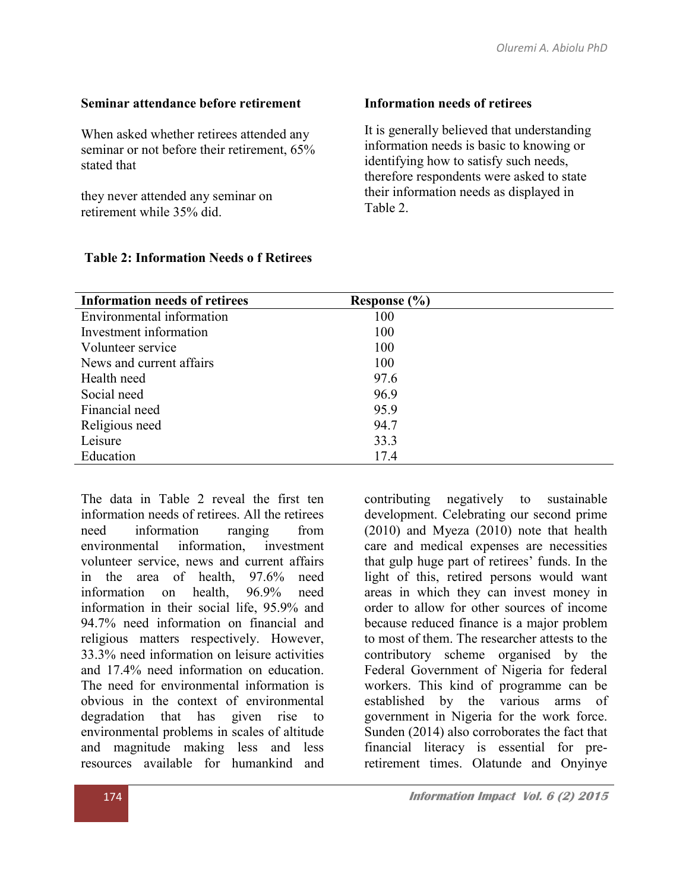## Seminar attendance before retirement

When asked whether retirees attended any seminar or not before their retirement, 65% stated that

they never attended any seminar on retirement while 35% did.

# Information needs of retirees

It is generally believed that understanding information needs is basic to knowing or identifying how to satisfy such needs, therefore respondents were asked to state their information needs as displayed in Table 2.

| <b>Information needs of retirees</b> | Response (%) |  |
|--------------------------------------|--------------|--|
| Environmental information            | 100          |  |
| Investment information               | 100          |  |
| Volunteer service                    | 100          |  |
| News and current affairs             | 100          |  |
| Health need                          | 97.6         |  |
| Social need                          | 96.9         |  |
| Financial need                       | 95.9         |  |
| Religious need                       | 94.7         |  |
| Leisure                              | 33.3         |  |
| Education                            | 17.4         |  |

## Table 2: Information Needs o f Retirees

The data in Table 2 reveal the first ten information needs of retirees. All the retirees need information ranging from environmental information, investment volunteer service, news and current affairs in the area of health, 97.6% need information on health, 96.9% need information in their social life, 95.9% and 94.7% need information on financial and religious matters respectively. However, 33.3% need information on leisure activities and 17.4% need information on education. The need for environmental information is obvious in the context of environmental degradation that has given rise to environmental problems in scales of altitude and magnitude making less and less resources available for humankind and

contributing negatively to sustainable development. Celebrating our second prime (2010) and Myeza (2010) note that health care and medical expenses are necessities that gulp huge part of retirees' funds. In the light of this, retired persons would want areas in which they can invest money in order to allow for other sources of income because reduced finance is a major problem to most of them. The researcher attests to the contributory scheme organised by the Federal Government of Nigeria for federal workers. This kind of programme can be established by the various arms of government in Nigeria for the work force. Sunden (2014) also corroborates the fact that financial literacy is essential for preretirement times. Olatunde and Onyinye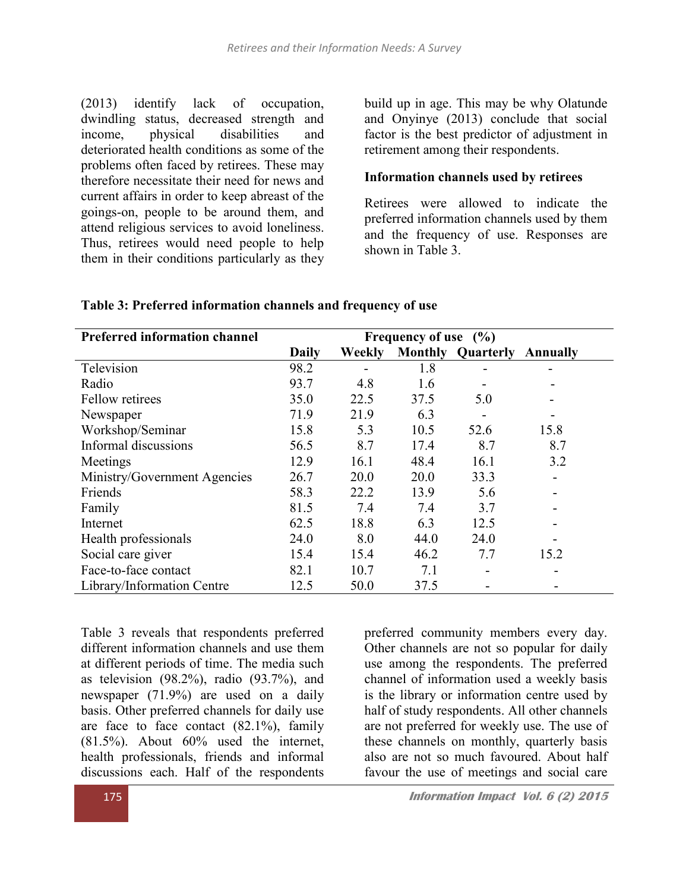(2013) identify lack of occupation, dwindling status, decreased strength and income, physical disabilities and deteriorated health conditions as some of the problems often faced by retirees. These may therefore necessitate their need for news and current affairs in order to keep abreast of the goings-on, people to be around them, and attend religious services to avoid loneliness. Thus, retirees would need people to help them in their conditions particularly as they

build up in age. This may be why Olatunde and Onyinye (2013) conclude that social factor is the best predictor of adjustment in retirement among their respondents.

# Information channels used by retirees

Retirees were allowed to indicate the preferred information channels used by them and the frequency of use. Responses are shown in Table 3.

| <b>Preferred information channel</b> | Frequency of use $(\% )$ |               |      |                          |          |
|--------------------------------------|--------------------------|---------------|------|--------------------------|----------|
|                                      | <b>Daily</b>             | <b>Weekly</b> |      | <b>Monthly Quarterly</b> | Annually |
| Television                           | 98.2                     |               | 1.8  |                          |          |
| Radio                                | 93.7                     | 4.8           | 1.6  |                          |          |
| Fellow retirees                      | 35.0                     | 22.5          | 37.5 | 5.0                      |          |
| Newspaper                            | 71.9                     | 21.9          | 6.3  | $\overline{\phantom{a}}$ |          |
| Workshop/Seminar                     | 15.8                     | 5.3           | 10.5 | 52.6                     | 15.8     |
| Informal discussions                 | 56.5                     | 8.7           | 17.4 | 8.7                      | 8.7      |
| Meetings                             | 12.9                     | 16.1          | 48.4 | 16.1                     | 3.2      |
| Ministry/Government Agencies         | 26.7                     | 20.0          | 20.0 | 33.3                     |          |
| Friends                              | 58.3                     | 22.2          | 13.9 | 5.6                      | -        |
| Family                               | 81.5                     | 7.4           | 7.4  | 3.7                      |          |
| Internet                             | 62.5                     | 18.8          | 6.3  | 12.5                     |          |
| Health professionals                 | 24.0                     | 8.0           | 44.0 | 24.0                     |          |
| Social care giver                    | 15.4                     | 15.4          | 46.2 | 7.7                      | 15.2     |
| Face-to-face contact                 | 82.1                     | 10.7          | 7.1  |                          |          |
| Library/Information Centre           | 12.5                     | 50.0          | 37.5 |                          |          |

## Table 3: Preferred information channels and frequency of use

Table 3 reveals that respondents preferred different information channels and use them at different periods of time. The media such as television  $(98.2\%)$ , radio  $(93.7\%)$ , and newspaper (71.9%) are used on a daily basis. Other preferred channels for daily use are face to face contact (82.1%), family (81.5%). About 60% used the internet, health professionals, friends and informal discussions each. Half of the respondents

preferred community members every day. Other channels are not so popular for daily use among the respondents. The preferred channel of information used a weekly basis is the library or information centre used by half of study respondents. All other channels are not preferred for weekly use. The use of these channels on monthly, quarterly basis also are not so much favoured. About half favour the use of meetings and social care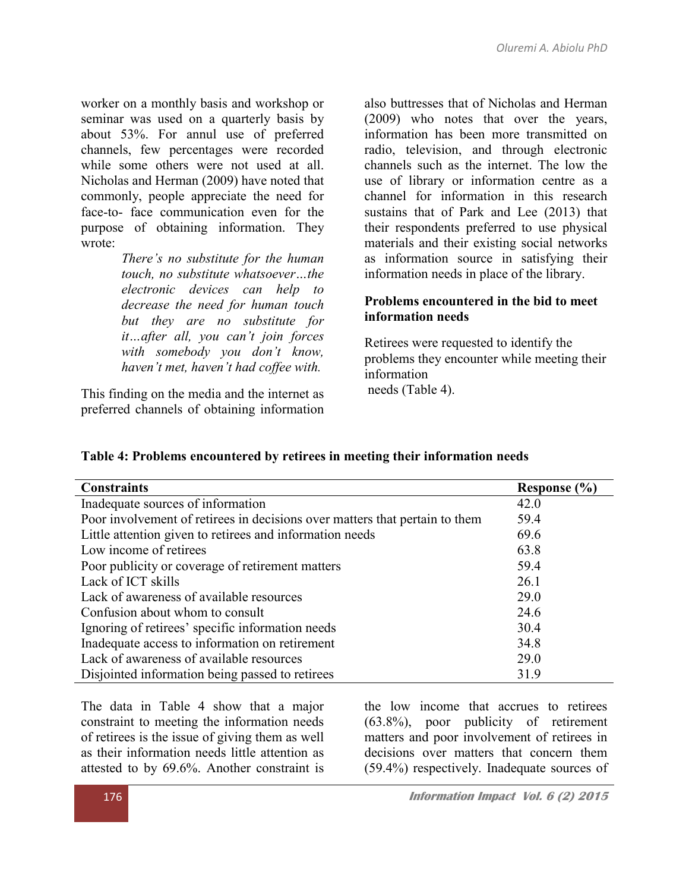worker on a monthly basis and workshop or seminar was used on a quarterly basis by about 53%. For annul use of preferred channels, few percentages were recorded while some others were not used at all. Nicholas and Herman (2009) have noted that commonly, people appreciate the need for face-to- face communication even for the purpose of obtaining information. They wrote:

> *There's no substitute for the human touch, no substitute whatsoever…the electronic devices can help to decrease the need for human touch but they are no substitute for it…after all, you can't join forces with somebody you don't know, haven't met, haven't had coffee with.*

This finding on the media and the internet as preferred channels of obtaining information also buttresses that of Nicholas and Herman (2009) who notes that over the years, information has been more transmitted on radio, television, and through electronic channels such as the internet. The low the use of library or information centre as a channel for information in this research sustains that of Park and Lee (2013) that their respondents preferred to use physical materials and their existing social networks as information source in satisfying their information needs in place of the library.

## Problems encountered in the bid to meet information needs

Retirees were requested to identify the problems they encounter while meeting their information needs (Table 4).

| <b>Constraints</b>                                                          | Response (%) |
|-----------------------------------------------------------------------------|--------------|
| Inadequate sources of information                                           | 42.0         |
| Poor involvement of retirees in decisions over matters that pertain to them | 59.4         |
| Little attention given to retirees and information needs                    | 69.6         |
| Low income of retirees                                                      | 63.8         |
| Poor publicity or coverage of retirement matters                            | 59.4         |
| Lack of ICT skills                                                          | 26.1         |
| Lack of awareness of available resources                                    | 29.0         |
| Confusion about whom to consult                                             | 24.6         |
| Ignoring of retirees' specific information needs                            | 30.4         |
| Inadequate access to information on retirement                              | 34.8         |
| Lack of awareness of available resources                                    | 29.0         |
| Disjointed information being passed to retirees                             | 31.9         |

#### Table 4: Problems encountered by retirees in meeting their information needs

The data in Table 4 show that a major constraint to meeting the information needs of retirees is the issue of giving them as well as their information needs little attention as attested to by 69.6%. Another constraint is the low income that accrues to retirees (63.8%), poor publicity of retirement matters and poor involvement of retirees in decisions over matters that concern them (59.4%) respectively. Inadequate sources of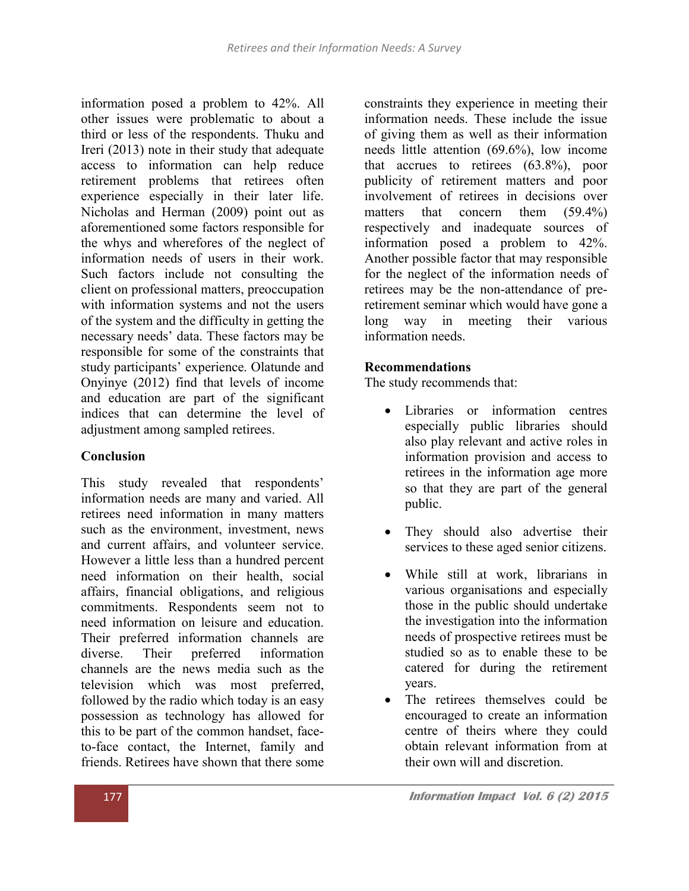information posed a problem to 42%. All other issues were problematic to about a third or less of the respondents. Thuku and Ireri (2013) note in their study that adequate access to information can help reduce retirement problems that retirees often experience especially in their later life. Nicholas and Herman (2009) point out as aforementioned some factors responsible for the whys and wherefores of the neglect of information needs of users in their work. Such factors include not consulting the client on professional matters, preoccupation with information systems and not the users of the system and the difficulty in getting the necessary needs' data. These factors may be responsible for some of the constraints that study participants' experience. Olatunde and Onyinye (2012) find that levels of income and education are part of the significant indices that can determine the level of adjustment among sampled retirees.

#### Conclusion

This study revealed that respondents' information needs are many and varied. All retirees need information in many matters such as the environment, investment, news and current affairs, and volunteer service. However a little less than a hundred percent need information on their health, social affairs, financial obligations, and religious commitments. Respondents seem not to need information on leisure and education. Their preferred information channels are diverse. Their preferred information channels are the news media such as the television which was most preferred, followed by the radio which today is an easy possession as technology has allowed for this to be part of the common handset, faceto-face contact, the Internet, family and friends. Retirees have shown that there some

constraints they experience in meeting their information needs. These include the issue of giving them as well as their information needs little attention (69.6%), low income that accrues to retirees (63.8%), poor publicity of retirement matters and poor involvement of retirees in decisions over matters that concern them (59.4%) respectively and inadequate sources of information posed a problem to 42%. Another possible factor that may responsible for the neglect of the information needs of retirees may be the non-attendance of preretirement seminar which would have gone a long way in meeting their various information needs.

## Recommendations

The study recommends that:

- Libraries or information centres especially public libraries should also play relevant and active roles in information provision and access to retirees in the information age more so that they are part of the general public.
- They should also advertise their services to these aged senior citizens.
- While still at work, librarians in various organisations and especially those in the public should undertake the investigation into the information needs of prospective retirees must be studied so as to enable these to be catered for during the retirement years.
- The retirees themselves could be encouraged to create an information centre of theirs where they could obtain relevant information from at their own will and discretion.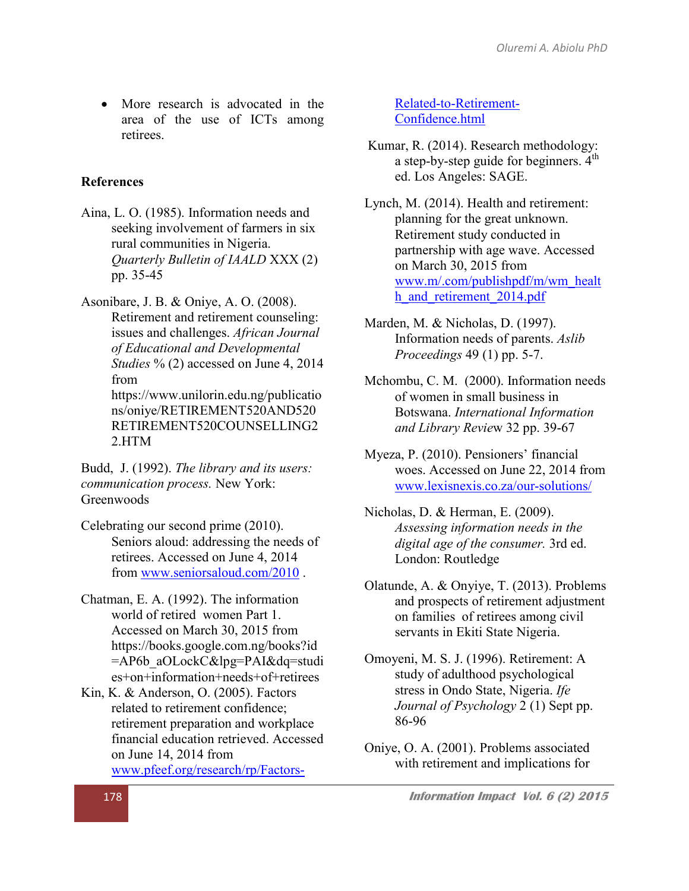• More research is advocated in the area of the use of ICTs among retirees.

#### **References**

Aina, L. O. (1985). Information needs and seeking involvement of farmers in six rural communities in Nigeria. *Quarterly Bulletin of IAALD* XXX (2) pp. 35-45

Asonibare, J. B. & Oniye, A. O. (2008). Retirement and retirement counseling: issues and challenges. *African Journal of Educational and Developmental Studies* % (2) accessed on June 4, 2014 from https://www.unilorin.edu.ng/publicatio ns/oniye/RETIREMENT520AND520 RETIREMENT520COUNSELLING2 2.HTM

Budd, J. (1992). *The library and its users: communication process.* New York: **Greenwoods** 

Celebrating our second prime (2010). Seniors aloud: addressing the needs of retirees. Accessed on June 4, 2014 from www.seniorsaloud.com/2010 .

Chatman, E. A. (1992). The information world of retired women Part 1. Accessed on March 30, 2015 from https://books.google.com.ng/books?id =AP6b\_aOLockC&lpg=PAI&dq=studi es+on+information+needs+of+retirees

Kin, K. & Anderson, O. (2005). Factors related to retirement confidence; retirement preparation and workplace financial education retrieved. Accessed on June 14, 2014 from www.pfeef.org/research/rp/Factors[Related-to-Retirement-](http://www.pfeef.org/research/rp/Factors-Related-to-Retirement-Confidence.html)[Confidence.html](http://www.pfeef.org/research/rp/Factors-Related-to-Retirement-Confidence.html)

Kumar, R. (2014). Research methodology: a step-by-step guide for beginners.  $4<sup>th</sup>$ ed. Los Angeles: SAGE.

Lynch, M. (2014). Health and retirement: planning for the great unknown. Retirement study conducted in partnership with age wave. Accessed on March 30, 2015 from www.m/.com/publishpdf/m/wm\_healt h and retirement 2014.pdf

Mar[den, M. & Nicholas, D. \(1997\).](http://www.m/.com/publishpdf/m/wm_health_and_retirement_2014.pdf)  Information needs of parents. *Aslib Proceedings* 49 (1) pp. 5-7.

- Mchombu, C. M. (2000). Information needs of women in small business in Botswana. *International Information and Library Revie*w 32 pp. 39-67
- Myeza, P. (2010). Pensioners' financial woes. Accessed on June 22, 2014 from www.lexisnexis.co.za/our-solutions/

Nicholas, D. & Herman, E. (2009). *[Assessing information needs in the](http://www.lexisnexis.co.za/our-solutions/)  digital age of the consumer.* 3rd ed. London: Routledge

- Olatunde, A. & Onyiye, T. (2013). Problems and prospects of retirement adjustment on families of retirees among civil servants in Ekiti State Nigeria.
- Omoyeni, M. S. J. (1996). Retirement: A study of adulthood psychological stress in Ondo State, Nigeria. *Ife Journal of Psychology* 2 (1) Sept pp. 86-96
- Oniye, O. A. (2001). Problems associated with retirement and implications for

[178](http://www.pfeef.org/research/rp/Factors-Related-to-Retirement-Confidence.html) **Information Impact Vol. 6 (2) 2015**